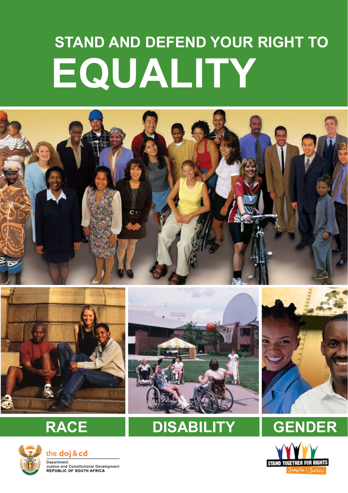# **EQUALITY STAND AND DEFEND YOUR RIGHT TO**







the doj & cd Department: **Justice and Constitutional Development**<br>REPUBLIC OF SOUTH AFRICA



## **RACE DISABILITY GENDER**



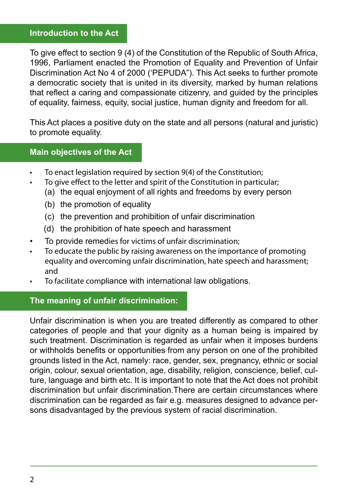#### **Introduction to the Act**

To give effect to section 9 (4) of the Constitution of the Republic of South Africa, 1996, Parliament enacted the Promotion of Equality and Prevention of Unfair Discrimination Act No 4 of 2000 ('PEPUDA"). This Act seeks to further promote a democratic society that is united in its diversity, marked by human relations that reflect a caring and compassionate citizenry, and guided by the principles of equality, fairness, equity, social justice, human dignity and freedom for all.

This Act places a positive duty on the state and all persons (natural and juristic) to promote equality.

#### **Main objectives of the Act**

- To enact legislation required by section 9(4) of the Constitution;
	- To give effect to the letter and spirit of the Constitution in particular;
		- (a) the equal enjoyment of all rights and freedoms by every person
		- (b) the promotion of equality
		- (c) the prevention and prohibition of unfair discrimination
		- (d) the prohibition of hate speech and harassment
- To provide remedies for victims of unfair discrimination;
- To educate the public by raising awareness on the importance of promoting equality and overcoming unfair discrimination, hate speech and harassment; and
- To facilitate compliance with international law obligations.

#### **The meaning of unfair discrimination:**

Unfair discrimination is when you are treated differently as compared to other categories of people and that your dignity as a human being is impaired by such treatment. Discrimination is regarded as unfair when it imposes burdens or withholds benefits or opportunities from any person on one of the prohibited grounds listed in the Act, namely: race, gender, sex, pregnancy, ethnic or social origin, colour, sexual orientation, age, disability, religion, conscience, belief, culture, language and birth etc. It is important to note that the Act does not prohibit discrimination but unfair discrimination.There are certain circumstances where discrimination can be regarded as fair e.g. measures designed to advance persons disadvantaged by the previous system of racial discrimination.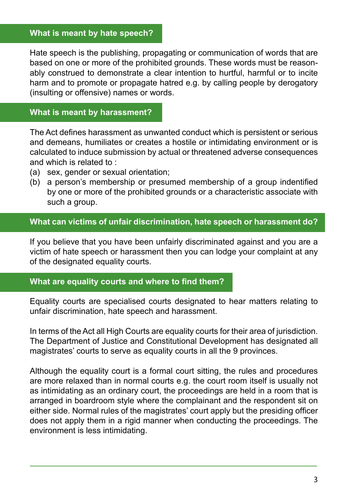#### **What is meant by hate speech?**

Hate speech is the publishing, propagating or communication of words that are based on one or more of the prohibited grounds. These words must be reasonably construed to demonstrate a clear intention to hurtful, harmful or to incite harm and to promote or propagate hatred e.g. by calling people by derogatory (insulting or offensive) names or words.

#### **What is meant by harassment?**

The Act defines harassment as unwanted conduct which is persistent or serious and demeans, humiliates or creates a hostile or intimidating environment or is calculated to induce submission by actual or threatened adverse consequences and which is related to :

- (a) sex, gender or sexual orientation;
- (b) a person's membership or presumed membership of a group indentified by one or more of the prohibited grounds or a characteristic associate with such a group.

#### **What can victims of unfair discrimination, hate speech or harassment do?**

If you believe that you have been unfairly discriminated against and you are a victim of hate speech or harassment then you can lodge your complaint at any of the designated equality courts.

#### **What are equality courts and where to find them?**

Equality courts are specialised courts designated to hear matters relating to unfair discrimination, hate speech and harassment.

In terms of the Act all High Courts are equality courts for their area of jurisdiction. The Department of Justice and Constitutional Development has designated all magistrates' courts to serve as equality courts in all the 9 provinces.

Although the equality court is a formal court sitting, the rules and procedures are more relaxed than in normal courts e.g. the court room itself is usually not as intimidating as an ordinary court, the proceedings are held in a room that is arranged in boardroom style where the complainant and the respondent sit on either side. Normal rules of the magistrates' court apply but the presiding officer does not apply them in a rigid manner when conducting the proceedings. The environment is less intimidating.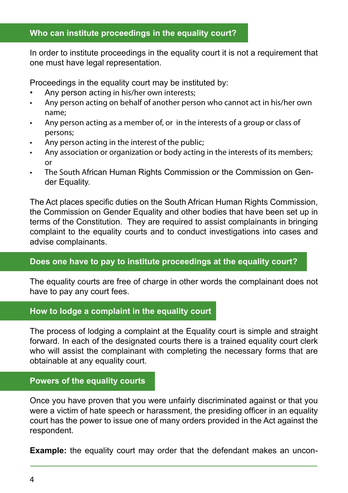#### **Who can institute proceedings in the equality court?**

In order to institute proceedings in the equality court it is not a requirement that one must have legal representation.

Proceedings in the equality court may be instituted by:

- Any person acting in his/her own interests;
- • Any person acting on behalf of another person who cannot act in his/her own name;
- Any person acting as a member of, or in the interests of a group or class of persons;
- Any person acting in the interest of the public;
- Any association or organization or body acting in the interests of its members; or
- The South African Human Rights Commission or the Commission on Gender Equality.

The Act places specific duties on the South African Human Rights Commission, the Commission on Gender Equality and other bodies that have been set up in terms of the Constitution. They are required to assist complainants in bringing complaint to the equality courts and to conduct investigations into cases and advise complainants.

#### **Does one have to pay to institute proceedings at the equality court?**

The equality courts are free of charge in other words the complainant does not have to pay any court fees.

#### **How to lodge a complaint in the equality court**

The process of lodging a complaint at the Equality court is simple and straight forward. In each of the designated courts there is a trained equality court clerk who will assist the complainant with completing the necessary forms that are obtainable at any equality court.

## **Powers of the equality courts**

Once you have proven that you were unfairly discriminated against or that you were a victim of hate speech or harassment, the presiding officer in an equality court has the power to issue one of many orders provided in the Act against the respondent.

**Example:** the equality court may order that the defendant makes an uncon-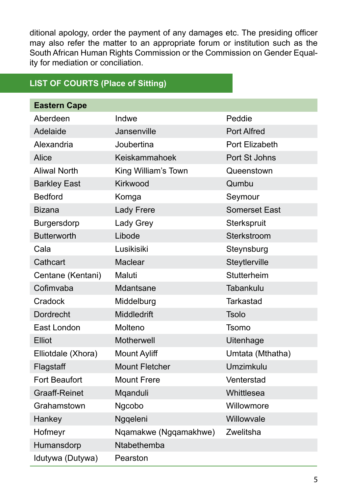ditional apology, order the payment of any damages etc. The presiding officer may also refer the matter to an appropriate forum or institution such as the South African Human Rights Commission or the Commission on Gender Equality for mediation or conciliation.

## **LIST OF COURTS (Place of Sitting)**

| <b>Eastern Cape</b>  |                       |                      |
|----------------------|-----------------------|----------------------|
| Aberdeen             | Indwe                 | Peddie               |
| Adelaide             | Jansenville           | <b>Port Alfred</b>   |
| Alexandria           | Joubertina            | Port Elizabeth       |
| Alice                | Keiskammahoek         | Port St Johns        |
| <b>Aliwal North</b>  | King William's Town   | Queenstown           |
| <b>Barkley East</b>  | Kirkwood              | Qumbu                |
| <b>Bedford</b>       | Komga                 | Seymour              |
| <b>Bizana</b>        | Lady Frere            | <b>Somerset East</b> |
| Burgersdorp          | Lady Grey             | Sterkspruit          |
| <b>Butterworth</b>   | Libode                | Sterkstroom          |
| Cala                 | Lusikisiki            | Steynsburg           |
| Cathcart             | Maclear               | Steytlerville        |
| Centane (Kentani)    | Maluti                | Stutterheim          |
| Cofimvaba            | Mdantsane             | Tabankulu            |
| Cradock              | Middelburg            | <b>Tarkastad</b>     |
| Dordrecht            | Middledrift           | <b>Tsolo</b>         |
| East London          | Molteno               | <b>Tsomo</b>         |
| Elliot               | Motherwell            | Uitenhage            |
| Elliotdale (Xhora)   | <b>Mount Ayliff</b>   | Umtata (Mthatha)     |
| Flagstaff            | <b>Mount Fletcher</b> | Umzimkulu            |
| <b>Fort Beaufort</b> | <b>Mount Frere</b>    | Venterstad           |
| <b>Graaff-Reinet</b> | Mqanduli              | Whittlesea           |
| Grahamstown          | Ngcobo                | Willowmore           |
| Hankey               | Nggeleni              | Willowvale           |
| Hofmeyr              | Nqamakwe (Ngqamakhwe) | Zwelitsha            |
| Humansdorp           | Ntabethemba           |                      |
| Idutywa (Dutywa)     | Pearston              |                      |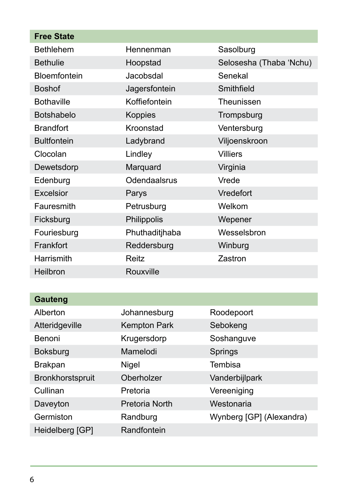| <b>Free State</b>   |                     |                         |
|---------------------|---------------------|-------------------------|
| <b>Bethlehem</b>    | Hennenman           | Sasolburg               |
| <b>Bethulie</b>     | Hoopstad            | Selosesha (Thaba 'Nchu) |
| <b>Bloemfontein</b> | Jacobsdal           | Senekal                 |
| <b>Boshof</b>       | Jagersfontein       | Smithfield              |
| <b>Bothaville</b>   | Koffiefontein       | Theunissen              |
| Botshabelo          | Koppies             | Trompsburg              |
| <b>Brandfort</b>    | Kroonstad           | Ventersburg             |
| <b>Bultfontein</b>  | Ladybrand           | Viljoenskroon           |
| Clocolan            | Lindley             | <b>Villiers</b>         |
| Dewetsdorp          | Marquard            | Virginia                |
| Edenburg            | Odendaalsrus        | Vrede                   |
| Excelsior           | Parys               | Vredefort               |
| Fauresmith          | Petrusburg          | Welkom                  |
| Ficksburg           | Philippolis         | Wepener                 |
| Fouriesburg         | Phuthaditjhaba      | Wesselsbron             |
| Frankfort           | Reddersburg         | Winburg                 |
| Harrismith          | Reitz               | Zastron                 |
| Heilbron            | Rouxville           |                         |
|                     |                     |                         |
| <b>Gauteng</b>      |                     |                         |
| Alberton            | Johannesburg        | Roodepoort              |
| Atteridgeville      | <b>Kempton Park</b> | Sebokeng                |
| Benoni              | Krugersdorp         | Soshanguve              |
| <b>Boksburg</b>     | Mamelodi            | Springs                 |
| <b>Brakpan</b>      | Nigel               | Tembisa                 |

Bronkhorstspruit Oberholzer Vanderbijlpark Cullinan Pretoria Vereeniging Daveyton Pretoria North Westonaria

Heidelberg [GP] Randfontein

Germiston Randburg Wynberg [GP] (Alexandra)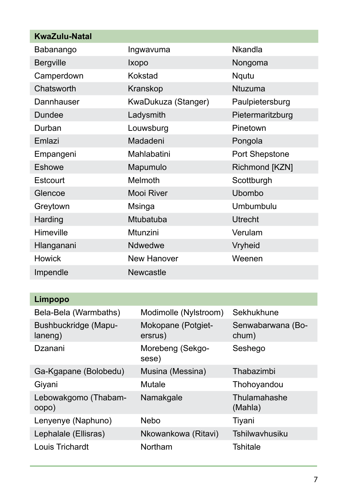| <b>KwaZulu-Natal</b> |                     |                  |
|----------------------|---------------------|------------------|
| Babanango            | Ingwavuma           | <b>Nkandla</b>   |
| <b>Bergville</b>     | Ixopo               | Nongoma          |
| Camperdown           | Kokstad             | Nqutu            |
| Chatsworth           | Kranskop            | <b>Ntuzuma</b>   |
| Dannhauser           | KwaDukuza (Stanger) | Paulpietersburg  |
| Dundee               | Ladysmith           | Pietermaritzburg |
| Durban               | Louwsburg           | Pinetown         |
| Emlazi               | Madadeni            | Pongola          |
| Empangeni            | Mahlabatini         | Port Shepstone   |
| Eshowe               | Mapumulo            | Richmond [KZN]   |
| Estcourt             | Melmoth             | Scottburgh       |
| Glencoe              | Mooi River          | Ubombo           |
| Greytown             | Msinga              | Umbumbulu        |
| Harding              | Mtubatuba           | <b>Utrecht</b>   |
| Himeville            | Mtunzini            | Verulam          |
| Hlanganani           | Ndwedwe             | Vryheid          |
| <b>Howick</b>        | New Hanover         | Weenen           |
| Impendle             | <b>Newcastle</b>    |                  |

| Limpopo                         |                               |                            |
|---------------------------------|-------------------------------|----------------------------|
| Bela-Bela (Warmbaths)           | Modimolle (Nylstroom)         | Sekhukhune                 |
| Bushbuckridge (Mapu-<br>laneng) | Mokopane (Potgiet-<br>ersrus) | Senwabarwana (Bo-<br>chum) |
| Dzanani                         | Morebeng (Sekgo-<br>sese)     | Seshego                    |
| Ga-Kgapane (Bolobedu)           | Musina (Messina)              | Thabazimbi                 |
| Giyani                          | Mutale                        | Thohoyandou                |
| Lebowakgomo (Thabam-<br>oopo)   | Namakgale                     | Thulamahashe<br>(Mahla)    |
| Lenyenye (Naphuno)              | <b>Nebo</b>                   | Tiyani                     |
| Lephalale (Ellisras)            | Nkowankowa (Ritavi)           | Tshilwayhusiku             |
| Louis Trichardt                 | Northam                       | Tshitale                   |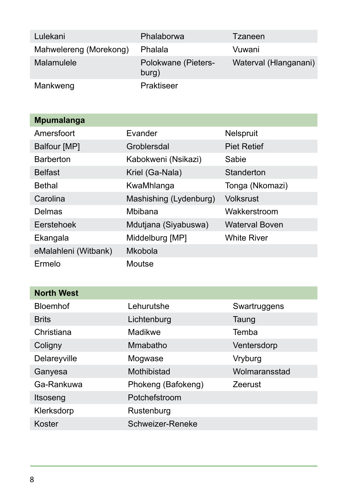| Lulekani               | Phalaborwa                   | Tzaneen               |
|------------------------|------------------------------|-----------------------|
| Mahwelereng (Morekong) | Phalala                      | Vuwani                |
| Malamulele             | Polokwane (Pieters-<br>burg) | Waterval (Hlanganani) |
| Mankweng               | Praktiseer                   |                       |

| <b>Mpumalanga</b>    |                        |                       |
|----------------------|------------------------|-----------------------|
| Amersfoort           | Evander                | Nelspruit             |
| Balfour [MP]         | Groblersdal            | <b>Piet Retief</b>    |
| <b>Barberton</b>     | Kabokweni (Nsikazi)    | Sabie                 |
| <b>Belfast</b>       | Kriel (Ga-Nala)        | Standerton            |
| Bethal               | KwaMhlanga             | Tonga (Nkomazi)       |
| Carolina             | Mashishing (Lydenburg) | Volksrust             |
| Delmas               | Mbibana                | Wakkerstroom          |
| Eerstehoek           | Mdutjana (Siyabuswa)   | <b>Waterval Boven</b> |
| Ekangala             | Middelburg [MP]        | <b>White River</b>    |
| eMalahleni (Witbank) | Mkobola                |                       |
| Ermelo               | Moutse                 |                       |

| <b>North West</b> |                    |               |
|-------------------|--------------------|---------------|
| <b>Bloemhof</b>   | Lehurutshe         | Swartruggens  |
| <b>Brits</b>      | Lichtenburg        | Taung         |
| Christiana        | Madikwe            | Temba         |
| Coligny           | Mmabatho           | Ventersdorp   |
| Delareyville      | Mogwase            | Vryburg       |
| Ganyesa           | Mothibistad        | Wolmaransstad |
| Ga-Rankuwa        | Phokeng (Bafokeng) | Zeerust       |
| Itsoseng          | Potchefstroom      |               |
| Klerksdorp        | Rustenburg         |               |
| Koster            | Schweizer-Reneke   |               |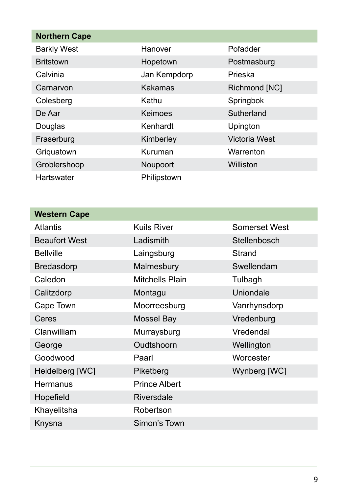| <b>Northern Cape</b> |              |               |
|----------------------|--------------|---------------|
| <b>Barkly West</b>   | Hanover      | Pofadder      |
| <b>Britstown</b>     | Hopetown     | Postmasburg   |
| Calvinia             | Jan Kempdorp | Prieska       |
| Carnarvon            | Kakamas      | Richmond [NC] |
| Colesberg            | Kathu        | Springbok     |
| De Aar               | Keimoes      | Sutherland    |
| Douglas              | Kenhardt     | Upington      |
| Fraserburg           | Kimberley    | Victoria West |
| Griguatown           | Kuruman      | Warrenton     |
| Groblershoop         | Noupoort     | Williston     |
| Hartswater           | Philipstown  |               |

| <b>Kuils River</b>   | Somerset West |
|----------------------|---------------|
| Ladismith            | Stellenbosch  |
| Laingsburg           | Strand        |
| Malmesbury           | Swellendam    |
| Mitchells Plain      | Tulbagh       |
| Montagu              | Uniondale     |
| Moorreesburg         | Vanrhynsdorp  |
| Mossel Bay           | Vredenburg    |
| Murraysburg          | Vredendal     |
| Oudtshoorn           | Wellington    |
| Paarl                | Worcester     |
| Piketberg            | Wynberg [WC]  |
| <b>Prince Albert</b> |               |
| Riversdale           |               |
| Robertson            |               |
| Simon's Town         |               |
|                      |               |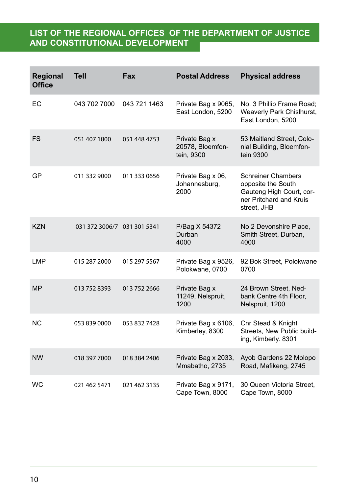## **List of the regional offices of the Department of Justice and Constitutional Development**

| Regional<br><b>Office</b> | <b>Tell</b>                 | Fax          | <b>Postal Address</b>                           | <b>Physical address</b>                                                                                               |
|---------------------------|-----------------------------|--------------|-------------------------------------------------|-----------------------------------------------------------------------------------------------------------------------|
| EC                        | 043 702 7000                | 043 721 1463 | Private Bag x 9065,<br>East London, 5200        | No. 3 Phillip Frame Road;<br>Weaverly Park Chislhurst,<br>East London, 5200                                           |
| <b>FS</b>                 | 051 407 1800                | 051 448 4753 | Private Bag x<br>20578, Bloemfon-<br>tein, 9300 | 53 Maitland Street, Colo-<br>nial Building, Bloemfon-<br>tein 9300                                                    |
| GP                        | 011 332 9000                | 011 333 0656 | Private Bag x 06,<br>Johannesburg,<br>2000      | <b>Schreiner Chambers</b><br>opposite the South<br>Gauteng High Court, cor-<br>ner Pritchard and Kruis<br>street, JHB |
| <b>KZN</b>                | 031 372 3006/7 031 301 5341 |              | P/Bag X 54372<br>Durban<br>4000                 | No 2 Devonshire Place,<br>Smith Street, Durban,<br>4000                                                               |
| <b>LMP</b>                | 015 287 2000                | 015 297 5567 | Private Bag x 9526,<br>Polokwane, 0700          | 92 Bok Street, Polokwane<br>0700                                                                                      |
| <b>MP</b>                 | 013 752 8393                | 013 752 2666 | Private Bag x<br>11249, Nelspruit,<br>1200      | 24 Brown Street, Ned-<br>bank Centre 4th Floor,<br>Nelspruit, 1200                                                    |
| <b>NC</b>                 | 053 839 0000                | 053 832 7428 | Private Bag x 6106,<br>Kimberley, 8300          | Cnr Stead & Knight<br>Streets, New Public build-<br>ing, Kimberly. 8301                                               |
| <b>NW</b>                 | 018 397 7000                | 018 384 2406 | Private Bag x 2033,<br>Mmabatho, 2735           | Ayob Gardens 22 Molopo<br>Road, Mafikeng, 2745                                                                        |
| <b>WC</b>                 | 021 462 5471                | 021 462 3135 | Private Bag x 9171,<br>Cape Town, 8000          | 30 Queen Victoria Street,<br>Cape Town, 8000                                                                          |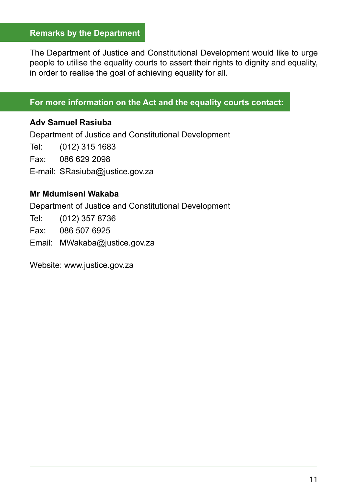#### **Remarks by the Department**

The Department of Justice and Constitutional Development would like to urge people to utilise the equality courts to assert their rights to dignity and equality, in order to realise the goal of achieving equality for all.

#### **For more information on the Act and the equality courts contact:**

#### **Adv Samuel Rasiuba**

Department of Justice and Constitutional Development Tel: (012) 315 1683

Fax: 086 629 2098

E-mail: SRasiuba@justice.gov.za

#### **Mr Mdumiseni Wakaba**

Department of Justice and Constitutional Development

Tel: (012) 357 8736

Fax: 086 507 6925

Email: MWakaba@justice.gov.za

Website: www.justice.gov.za